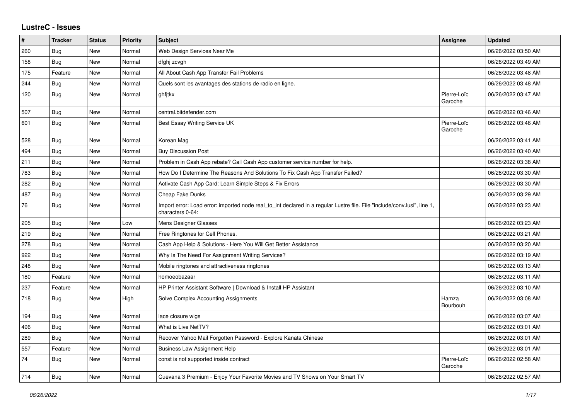## **LustreC - Issues**

| #   | <b>Tracker</b> | <b>Status</b> | Priority | <b>Subject</b>                                                                                                                               | <b>Assignee</b>        | <b>Updated</b>      |
|-----|----------------|---------------|----------|----------------------------------------------------------------------------------------------------------------------------------------------|------------------------|---------------------|
| 260 | <b>Bug</b>     | New           | Normal   | Web Design Services Near Me                                                                                                                  |                        | 06/26/2022 03:50 AM |
| 158 | Bug            | New           | Normal   | dfghj zcvgh                                                                                                                                  |                        | 06/26/2022 03:49 AM |
| 175 | Feature        | <b>New</b>    | Normal   | All About Cash App Transfer Fail Problems                                                                                                    |                        | 06/26/2022 03:48 AM |
| 244 | Bug            | New           | Normal   | Quels sont les avantages des stations de radio en ligne.                                                                                     |                        | 06/26/2022 03:48 AM |
| 120 | Bug            | New           | Normal   | ghfjtkx                                                                                                                                      | Pierre-Loïc<br>Garoche | 06/26/2022 03:47 AM |
| 507 | Bug            | New           | Normal   | central.bitdefender.com                                                                                                                      |                        | 06/26/2022 03:46 AM |
| 601 | Bug            | <b>New</b>    | Normal   | Best Essay Writing Service UK                                                                                                                | Pierre-Loïc<br>Garoche | 06/26/2022 03:46 AM |
| 528 | Bug            | New           | Normal   | Korean Mag                                                                                                                                   |                        | 06/26/2022 03:41 AM |
| 494 | <b>Bug</b>     | New           | Normal   | <b>Buy Discussion Post</b>                                                                                                                   |                        | 06/26/2022 03:40 AM |
| 211 | Bug            | New           | Normal   | Problem in Cash App rebate? Call Cash App customer service number for help.                                                                  |                        | 06/26/2022 03:38 AM |
| 783 | Bug            | New           | Normal   | How Do I Determine The Reasons And Solutions To Fix Cash App Transfer Failed?                                                                |                        | 06/26/2022 03:30 AM |
| 282 | Bug            | New           | Normal   | Activate Cash App Card: Learn Simple Steps & Fix Errors                                                                                      |                        | 06/26/2022 03:30 AM |
| 487 | <b>Bug</b>     | New           | Normal   | Cheap Fake Dunks                                                                                                                             |                        | 06/26/2022 03:29 AM |
| 76  | Bug            | New           | Normal   | Import error: Load error: imported node real to int declared in a regular Lustre file. File "include/conv.lusi", line 1,<br>characters 0-64: |                        | 06/26/2022 03:23 AM |
| 205 | <b>Bug</b>     | New           | Low      | Mens Designer Glasses                                                                                                                        |                        | 06/26/2022 03:23 AM |
| 219 | Bug            | New           | Normal   | Free Ringtones for Cell Phones.                                                                                                              |                        | 06/26/2022 03:21 AM |
| 278 | <b>Bug</b>     | New           | Normal   | Cash App Help & Solutions - Here You Will Get Better Assistance                                                                              |                        | 06/26/2022 03:20 AM |
| 922 | Bug            | New           | Normal   | Why Is The Need For Assignment Writing Services?                                                                                             |                        | 06/26/2022 03:19 AM |
| 248 | Bug            | New           | Normal   | Mobile ringtones and attractiveness ringtones                                                                                                |                        | 06/26/2022 03:13 AM |
| 180 | Feature        | New           | Normal   | homoeobazaar                                                                                                                                 |                        | 06/26/2022 03:11 AM |
| 237 | Feature        | New           | Normal   | HP Printer Assistant Software   Download & Install HP Assistant                                                                              |                        | 06/26/2022 03:10 AM |
| 718 | Bug            | <b>New</b>    | High     | Solve Complex Accounting Assignments                                                                                                         | Hamza<br>Bourbouh      | 06/26/2022 03:08 AM |
| 194 | Bug            | New           | Normal   | lace closure wigs                                                                                                                            |                        | 06/26/2022 03:07 AM |
| 496 | Bug            | New           | Normal   | What is Live NetTV?                                                                                                                          |                        | 06/26/2022 03:01 AM |
| 289 | <b>Bug</b>     | New           | Normal   | Recover Yahoo Mail Forgotten Password - Explore Kanata Chinese                                                                               |                        | 06/26/2022 03:01 AM |
| 557 | Feature        | New           | Normal   | <b>Business Law Assignment Help</b>                                                                                                          |                        | 06/26/2022 03:01 AM |
| 74  | <b>Bug</b>     | New           | Normal   | const is not supported inside contract                                                                                                       | Pierre-Loïc<br>Garoche | 06/26/2022 02:58 AM |
| 714 | Bug            | New           | Normal   | Cuevana 3 Premium - Enjoy Your Favorite Movies and TV Shows on Your Smart TV                                                                 |                        | 06/26/2022 02:57 AM |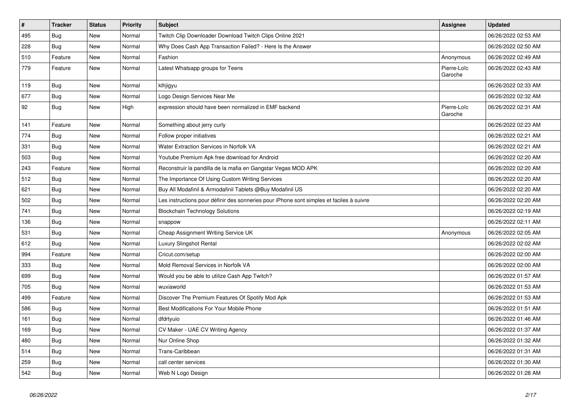| $\vert$ # | <b>Tracker</b> | <b>Status</b> | Priority | <b>Subject</b>                                                                           | <b>Assignee</b>        | <b>Updated</b>      |
|-----------|----------------|---------------|----------|------------------------------------------------------------------------------------------|------------------------|---------------------|
| 495       | <b>Bug</b>     | <b>New</b>    | Normal   | Twitch Clip Downloader Download Twitch Clips Online 2021                                 |                        | 06/26/2022 02:53 AM |
| 228       | Bug            | New           | Normal   | Why Does Cash App Transaction Failed? - Here Is the Answer                               |                        | 06/26/2022 02:50 AM |
| 510       | Feature        | New           | Normal   | Fashion                                                                                  | Anonymous              | 06/26/2022 02:49 AM |
| 779       | Feature        | New           | Normal   | Latest Whatsapp groups for Teens                                                         | Pierre-Loïc<br>Garoche | 06/26/2022 02:43 AM |
| 119       | <b>Bug</b>     | New           | Normal   | klhjigyu                                                                                 |                        | 06/26/2022 02:33 AM |
| 677       | Bug            | New           | Normal   | Logo Design Services Near Me                                                             |                        | 06/26/2022 02:32 AM |
| 92        | Bug            | New           | High     | expression should have been normalized in EMF backend                                    | Pierre-Loïc<br>Garoche | 06/26/2022 02:31 AM |
| 141       | Feature        | New           | Normal   | Something about jerry curly                                                              |                        | 06/26/2022 02:23 AM |
| 774       | Bug            | New           | Normal   | Follow proper initiatives                                                                |                        | 06/26/2022 02:21 AM |
| 331       | <b>Bug</b>     | New           | Normal   | <b>Water Extraction Services in Norfolk VA</b>                                           |                        | 06/26/2022 02:21 AM |
| 503       | <b>Bug</b>     | New           | Normal   | Youtube Premium Apk free download for Android                                            |                        | 06/26/2022 02:20 AM |
| 243       | Feature        | New           | Normal   | Reconstruir la pandilla de la mafia en Gangstar Vegas MOD APK                            |                        | 06/26/2022 02:20 AM |
| 512       | Bug            | New           | Normal   | The Importance Of Using Custom Writing Services                                          |                        | 06/26/2022 02:20 AM |
| 621       | Bug            | New           | Normal   | Buy All Modafinil & Armodafinil Tablets @Buy Modafinil US                                |                        | 06/26/2022 02:20 AM |
| 502       | <b>Bug</b>     | New           | Normal   | Les instructions pour définir des sonneries pour iPhone sont simples et faciles à suivre |                        | 06/26/2022 02:20 AM |
| 741       | <b>Bug</b>     | New           | Normal   | <b>Blockchain Technology Solutions</b>                                                   |                        | 06/26/2022 02:19 AM |
| 136       | Bug            | New           | Normal   | snappow                                                                                  |                        | 06/26/2022 02:11 AM |
| 531       | Bug            | New           | Normal   | Cheap Assignment Writing Service UK                                                      | Anonymous              | 06/26/2022 02:05 AM |
| 612       | Bug            | New           | Normal   | Luxury Slingshot Rental                                                                  |                        | 06/26/2022 02:02 AM |
| 994       | Feature        | New           | Normal   | Cricut.com/setup                                                                         |                        | 06/26/2022 02:00 AM |
| 333       | Bug            | New           | Normal   | Mold Removal Services in Norfolk VA                                                      |                        | 06/26/2022 02:00 AM |
| 699       | Bug            | New           | Normal   | Would you be able to utilize Cash App Twitch?                                            |                        | 06/26/2022 01:57 AM |
| 705       | <b>Bug</b>     | New           | Normal   | wuxiaworld                                                                               |                        | 06/26/2022 01:53 AM |
| 499       | Feature        | New           | Normal   | Discover The Premium Features Of Spotify Mod Apk                                         |                        | 06/26/2022 01:53 AM |
| 586       | <b>Bug</b>     | New           | Normal   | Best Modifications For Your Mobile Phone                                                 |                        | 06/26/2022 01:51 AM |
| 161       | <b>Bug</b>     | New           | Normal   | dfdrtyuio                                                                                |                        | 06/26/2022 01:46 AM |
| 169       | <b>Bug</b>     | New           | Normal   | CV Maker - UAE CV Writing Agency                                                         |                        | 06/26/2022 01:37 AM |
| 480       | <b>Bug</b>     | New           | Normal   | Nur Online Shop                                                                          |                        | 06/26/2022 01:32 AM |
| 514       | Bug            | New           | Normal   | Trans-Caribbean                                                                          |                        | 06/26/2022 01:31 AM |
| 259       | <b>Bug</b>     | New           | Normal   | call center services                                                                     |                        | 06/26/2022 01:30 AM |
| 542       | <b>Bug</b>     | New           | Normal   | Web N Logo Design                                                                        |                        | 06/26/2022 01:28 AM |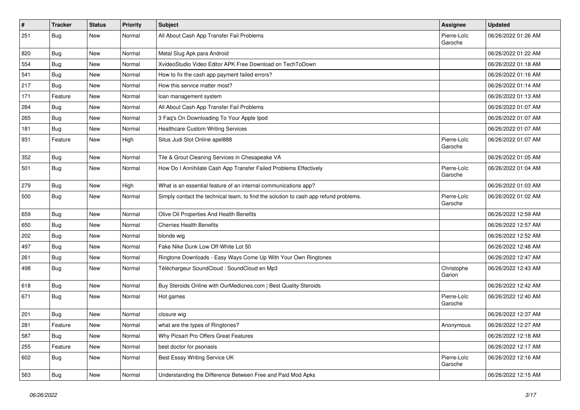| $\vert$ # | <b>Tracker</b> | <b>Status</b> | <b>Priority</b> | Subject                                                                              | <b>Assignee</b>        | <b>Updated</b>      |
|-----------|----------------|---------------|-----------------|--------------------------------------------------------------------------------------|------------------------|---------------------|
| 251       | <b>Bug</b>     | New           | Normal          | All About Cash App Transfer Fail Problems                                            | Pierre-Loïc<br>Garoche | 06/26/2022 01:26 AM |
| 820       | <b>Bug</b>     | New           | Normal          | Metal Slug Apk para Android                                                          |                        | 06/26/2022 01:22 AM |
| 554       | Bug            | New           | Normal          | XvideoStudio Video Editor APK Free Download on TechToDown                            |                        | 06/26/2022 01:18 AM |
| 541       | Bug            | New           | Normal          | How to fix the cash app payment failed errors?                                       |                        | 06/26/2022 01:16 AM |
| 217       | <b>Bug</b>     | New           | Normal          | How this service matter most?                                                        |                        | 06/26/2022 01:14 AM |
| 171       | Feature        | New           | Normal          | loan management system                                                               |                        | 06/26/2022 01:13 AM |
| 284       | Bug            | New           | Normal          | All About Cash App Transfer Fail Problems                                            |                        | 06/26/2022 01:07 AM |
| 265       | <b>Bug</b>     | New           | Normal          | 3 Faq's On Downloading To Your Apple Ipod                                            |                        | 06/26/2022 01:07 AM |
| 181       | Bug            | New           | Normal          | <b>Healthcare Custom Writing Services</b>                                            |                        | 06/26/2022 01:07 AM |
| 931       | Feature        | New           | High            | Situs Judi Slot Online apel888                                                       | Pierre-Loïc<br>Garoche | 06/26/2022 01:07 AM |
| 352       | Bug            | New           | Normal          | Tile & Grout Cleaning Services in Chesapeake VA                                      |                        | 06/26/2022 01:05 AM |
| 501       | Bug            | New           | Normal          | How Do I Annihilate Cash App Transfer Failed Problems Effectively                    | Pierre-Loïc<br>Garoche | 06/26/2022 01:04 AM |
| 279       | Bug            | New           | High            | What is an essential feature of an internal communications app?                      |                        | 06/26/2022 01:03 AM |
| 500       | Bug            | New           | Normal          | Simply contact the technical team, to find the solution to cash app refund problems. | Pierre-Loïc<br>Garoche | 06/26/2022 01:02 AM |
| 659       | Bug            | New           | Normal          | Olive Oil Properties And Health Benefits                                             |                        | 06/26/2022 12:59 AM |
| 650       | Bug            | New           | Normal          | <b>Cherries Health Benefits</b>                                                      |                        | 06/26/2022 12:57 AM |
| 202       | Bug            | New           | Normal          | blonde wig                                                                           |                        | 06/26/2022 12:52 AM |
| 497       | <b>Bug</b>     | New           | Normal          | Fake Nike Dunk Low Off-White Lot 50                                                  |                        | 06/26/2022 12:48 AM |
| 261       | Bug            | New           | Normal          | Ringtone Downloads - Easy Ways Come Up With Your Own Ringtones                       |                        | 06/26/2022 12:47 AM |
| 498       | Bug            | New           | Normal          | Téléchargeur SoundCloud : SoundCloud en Mp3                                          | Christophe<br>Garion   | 06/26/2022 12:43 AM |
| 618       | Bug            | New           | Normal          | Buy Steroids Online with OurMedicnes.com   Best Quality Steroids                     |                        | 06/26/2022 12:42 AM |
| 671       | Bug            | New           | Normal          | Hot games                                                                            | Pierre-Loïc<br>Garoche | 06/26/2022 12:40 AM |
| 201       | Bug            | New           | Normal          | closure wig                                                                          |                        | 06/26/2022 12:37 AM |
| 281       | Feature        | New           | Normal          | what are the types of Ringtones?                                                     | Anonymous              | 06/26/2022 12:27 AM |
| 587       | Bug            | New           | Normal          | Why Picsart Pro Offers Great Features                                                |                        | 06/26/2022 12:18 AM |
| 255       | Feature        | New           | Normal          | best doctor for psoriasis                                                            |                        | 06/26/2022 12:17 AM |
| 602       | <b>Bug</b>     | New           | Normal          | Best Essay Writing Service UK                                                        | Pierre-Loïc<br>Garoche | 06/26/2022 12:16 AM |
| 563       | <b>Bug</b>     | New           | Normal          | Understanding the Difference Between Free and Paid Mod Apks                          |                        | 06/26/2022 12:15 AM |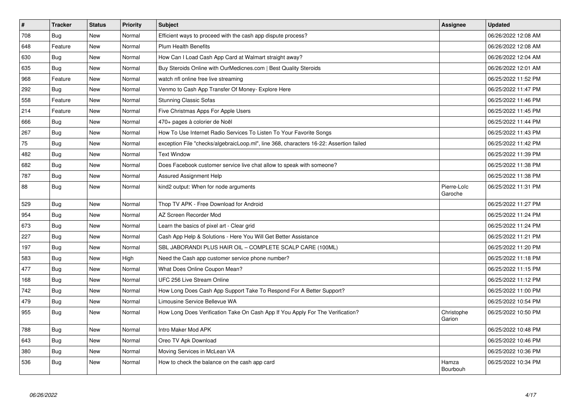| $\vert$ # | <b>Tracker</b> | <b>Status</b> | <b>Priority</b> | <b>Subject</b>                                                                         | Assignee                 | <b>Updated</b>      |
|-----------|----------------|---------------|-----------------|----------------------------------------------------------------------------------------|--------------------------|---------------------|
| 708       | <b>Bug</b>     | New           | Normal          | Efficient ways to proceed with the cash app dispute process?                           |                          | 06/26/2022 12:08 AM |
| 648       | Feature        | New           | Normal          | <b>Plum Health Benefits</b>                                                            |                          | 06/26/2022 12:08 AM |
| 630       | <b>Bug</b>     | New           | Normal          | How Can I Load Cash App Card at Walmart straight away?                                 |                          | 06/26/2022 12:04 AM |
| 635       | <b>Bug</b>     | New           | Normal          | Buy Steroids Online with OurMedicnes.com   Best Quality Steroids                       |                          | 06/26/2022 12:01 AM |
| 968       | Feature        | New           | Normal          | watch nfl online free live streaming                                                   |                          | 06/25/2022 11:52 PM |
| 292       | <b>Bug</b>     | New           | Normal          | Venmo to Cash App Transfer Of Money- Explore Here                                      |                          | 06/25/2022 11:47 PM |
| 558       | Feature        | New           | Normal          | <b>Stunning Classic Sofas</b>                                                          |                          | 06/25/2022 11:46 PM |
| 214       | Feature        | New           | Normal          | Five Christmas Apps For Apple Users                                                    |                          | 06/25/2022 11:45 PM |
| 666       | <b>Bug</b>     | New           | Normal          | 470+ pages à colorier de Noël                                                          |                          | 06/25/2022 11:44 PM |
| 267       | <b>Bug</b>     | <b>New</b>    | Normal          | How To Use Internet Radio Services To Listen To Your Favorite Songs                    |                          | 06/25/2022 11:43 PM |
| 75        | <b>Bug</b>     | New           | Normal          | exception File "checks/algebraicLoop.ml", line 368, characters 16-22: Assertion failed |                          | 06/25/2022 11:42 PM |
| 482       | Bug            | New           | Normal          | <b>Text Window</b>                                                                     |                          | 06/25/2022 11:39 PM |
| 682       | <b>Bug</b>     | New           | Normal          | Does Facebook customer service live chat allow to speak with someone?                  |                          | 06/25/2022 11:38 PM |
| 787       | Bug            | New           | Normal          | <b>Assured Assignment Help</b>                                                         |                          | 06/25/2022 11:38 PM |
| 88        | <b>Bug</b>     | New           | Normal          | kind2 output: When for node arguments                                                  | Pierre-Loïc<br>Garoche   | 06/25/2022 11:31 PM |
| 529       | <b>Bug</b>     | <b>New</b>    | Normal          | Thop TV APK - Free Download for Android                                                |                          | 06/25/2022 11:27 PM |
| 954       | Bug            | New           | Normal          | AZ Screen Recorder Mod                                                                 |                          | 06/25/2022 11:24 PM |
| 673       | <b>Bug</b>     | New           | Normal          | Learn the basics of pixel art - Clear grid                                             |                          | 06/25/2022 11:24 PM |
| 227       | Bug            | New           | Normal          | Cash App Help & Solutions - Here You Will Get Better Assistance                        |                          | 06/25/2022 11:21 PM |
| 197       | <b>Bug</b>     | New           | Normal          | SBL JABORANDI PLUS HAIR OIL - COMPLETE SCALP CARE (100ML)                              |                          | 06/25/2022 11:20 PM |
| 583       | Bug            | New           | High            | Need the Cash app customer service phone number?                                       |                          | 06/25/2022 11:18 PM |
| 477       | <b>Bug</b>     | New           | Normal          | What Does Online Coupon Mean?                                                          |                          | 06/25/2022 11:15 PM |
| 168       | Bug            | New           | Normal          | UFC 256 Live Stream Online                                                             |                          | 06/25/2022 11:12 PM |
| 742       | Bug            | New           | Normal          | How Long Does Cash App Support Take To Respond For A Better Support?                   |                          | 06/25/2022 11:00 PM |
| 479       | Bug            | New           | Normal          | Limousine Service Bellevue WA                                                          |                          | 06/25/2022 10:54 PM |
| 955       | Bug            | <b>New</b>    | Normal          | How Long Does Verification Take On Cash App If You Apply For The Verification?         | Christophe<br>Garion     | 06/25/2022 10:50 PM |
| 788       | <b>Bug</b>     | <b>New</b>    | Normal          | Intro Maker Mod APK                                                                    |                          | 06/25/2022 10:48 PM |
| 643       | Bug            | New           | Normal          | Oreo TV Apk Download                                                                   |                          | 06/25/2022 10:46 PM |
| 380       | Bug            | New           | Normal          | Moving Services in McLean VA                                                           |                          | 06/25/2022 10:36 PM |
| 536       | Bug            | New           | Normal          | How to check the balance on the cash app card                                          | Hamza<br><b>Bourbouh</b> | 06/25/2022 10:34 PM |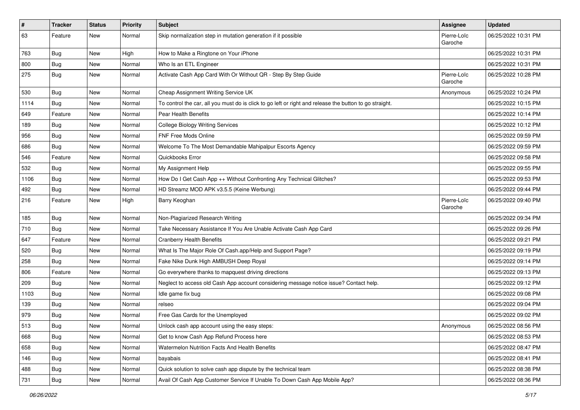| #    | Tracker    | <b>Status</b> | <b>Priority</b> | Subject                                                                                                 | <b>Assignee</b>        | <b>Updated</b>      |
|------|------------|---------------|-----------------|---------------------------------------------------------------------------------------------------------|------------------------|---------------------|
| 63   | Feature    | New           | Normal          | Skip normalization step in mutation generation if it possible                                           | Pierre-Loïc<br>Garoche | 06/25/2022 10:31 PM |
| 763  | <b>Bug</b> | New           | High            | How to Make a Ringtone on Your iPhone                                                                   |                        | 06/25/2022 10:31 PM |
| 800  | Bug        | New           | Normal          | Who Is an ETL Engineer                                                                                  |                        | 06/25/2022 10:31 PM |
| 275  | Bug        | New           | Normal          | Activate Cash App Card With Or Without QR - Step By Step Guide                                          | Pierre-Loïc<br>Garoche | 06/25/2022 10:28 PM |
| 530  | Bug        | New           | Normal          | Cheap Assignment Writing Service UK                                                                     | Anonymous              | 06/25/2022 10:24 PM |
| 1114 | Bug        | New           | Normal          | To control the car, all you must do is click to go left or right and release the button to go straight. |                        | 06/25/2022 10:15 PM |
| 649  | Feature    | New           | Normal          | Pear Health Benefits                                                                                    |                        | 06/25/2022 10:14 PM |
| 189  | Bug        | New           | Normal          | <b>College Biology Writing Services</b>                                                                 |                        | 06/25/2022 10:12 PM |
| 956  | <b>Bug</b> | New           | Normal          | <b>FNF Free Mods Online</b>                                                                             |                        | 06/25/2022 09:59 PM |
| 686  | <b>Bug</b> | New           | Normal          | Welcome To The Most Demandable Mahipalpur Escorts Agency                                                |                        | 06/25/2022 09:59 PM |
| 546  | Feature    | New           | Normal          | Quickbooks Error                                                                                        |                        | 06/25/2022 09:58 PM |
| 532  | <b>Bug</b> | New           | Normal          | My Assignment Help                                                                                      |                        | 06/25/2022 09:55 PM |
| 1106 | <b>Bug</b> | New           | Normal          | How Do I Get Cash App ++ Without Confronting Any Technical Glitches?                                    |                        | 06/25/2022 09:53 PM |
| 492  | Bug        | New           | Normal          | HD Streamz MOD APK v3.5.5 (Keine Werbung)                                                               |                        | 06/25/2022 09:44 PM |
| 216  | Feature    | New           | High            | Barry Keoghan                                                                                           | Pierre-Loïc<br>Garoche | 06/25/2022 09:40 PM |
| 185  | <b>Bug</b> | New           | Normal          | Non-Plagiarized Research Writing                                                                        |                        | 06/25/2022 09:34 PM |
| 710  | <b>Bug</b> | New           | Normal          | Take Necessary Assistance If You Are Unable Activate Cash App Card                                      |                        | 06/25/2022 09:26 PM |
| 647  | Feature    | New           | Normal          | <b>Cranberry Health Benefits</b>                                                                        |                        | 06/25/2022 09:21 PM |
| 520  | <b>Bug</b> | New           | Normal          | What Is The Major Role Of Cash.app/Help and Support Page?                                               |                        | 06/25/2022 09:19 PM |
| 258  | Bug        | New           | Normal          | Fake Nike Dunk High AMBUSH Deep Royal                                                                   |                        | 06/25/2022 09:14 PM |
| 806  | Feature    | New           | Normal          | Go everywhere thanks to mapquest driving directions                                                     |                        | 06/25/2022 09:13 PM |
| 209  | Bug        | New           | Normal          | Neglect to access old Cash App account considering message notice issue? Contact help.                  |                        | 06/25/2022 09:12 PM |
| 1103 | Bug        | New           | Normal          | Idle game fix bug                                                                                       |                        | 06/25/2022 09:08 PM |
| 139  | Bug        | New           | Normal          | relseo                                                                                                  |                        | 06/25/2022 09:04 PM |
| 979  | <b>Bug</b> | New           | Normal          | Free Gas Cards for the Unemployed                                                                       |                        | 06/25/2022 09:02 PM |
| 513  | Bug        | New           | Normal          | Unlock cash app account using the easy steps:                                                           | Anonymous              | 06/25/2022 08:56 PM |
| 668  | <b>Bug</b> | New           | Normal          | Get to know Cash App Refund Process here                                                                |                        | 06/25/2022 08:53 PM |
| 658  | Bug        | New           | Normal          | Watermelon Nutrition Facts And Health Benefits                                                          |                        | 06/25/2022 08:47 PM |
| 146  | <b>Bug</b> | New           | Normal          | bayabais                                                                                                |                        | 06/25/2022 08:41 PM |
| 488  | Bug        | New           | Normal          | Quick solution to solve cash app dispute by the technical team                                          |                        | 06/25/2022 08:38 PM |
| 731  | Bug        | New           | Normal          | Avail Of Cash App Customer Service If Unable To Down Cash App Mobile App?                               |                        | 06/25/2022 08:36 PM |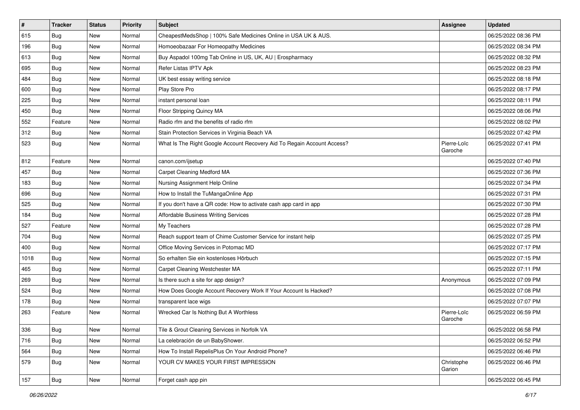| #    | <b>Tracker</b> | <b>Status</b> | <b>Priority</b> | Subject                                                                 | <b>Assignee</b>        | <b>Updated</b>      |
|------|----------------|---------------|-----------------|-------------------------------------------------------------------------|------------------------|---------------------|
| 615  | <b>Bug</b>     | New           | Normal          | CheapestMedsShop   100% Safe Medicines Online in USA UK & AUS.          |                        | 06/25/2022 08:36 PM |
| 196  | Bug            | New           | Normal          | Homoeobazaar For Homeopathy Medicines                                   |                        | 06/25/2022 08:34 PM |
| 613  | Bug            | New           | Normal          | Buy Aspadol 100mg Tab Online in US, UK, AU   Erospharmacy               |                        | 06/25/2022 08:32 PM |
| 695  | <b>Bug</b>     | New           | Normal          | Refer Listas IPTV Apk                                                   |                        | 06/25/2022 08:23 PM |
| 484  | Bug            | New           | Normal          | UK best essay writing service                                           |                        | 06/25/2022 08:18 PM |
| 600  | <b>Bug</b>     | New           | Normal          | Play Store Pro                                                          |                        | 06/25/2022 08:17 PM |
| 225  | Bug            | New           | Normal          | instant personal loan                                                   |                        | 06/25/2022 08:11 PM |
| 450  | Bug            | New           | Normal          | Floor Stripping Quincy MA                                               |                        | 06/25/2022 08:06 PM |
| 552  | Feature        | New           | Normal          | Radio rfm and the benefits of radio rfm                                 |                        | 06/25/2022 08:02 PM |
| 312  | Bug            | New           | Normal          | Stain Protection Services in Virginia Beach VA                          |                        | 06/25/2022 07:42 PM |
| 523  | Bug            | New           | Normal          | What Is The Right Google Account Recovery Aid To Regain Account Access? | Pierre-Loïc<br>Garoche | 06/25/2022 07:41 PM |
| 812  | Feature        | New           | Normal          | canon.com/ijsetup                                                       |                        | 06/25/2022 07:40 PM |
| 457  | <b>Bug</b>     | New           | Normal          | Carpet Cleaning Medford MA                                              |                        | 06/25/2022 07:36 PM |
| 183  | Bug            | New           | Normal          | Nursing Assignment Help Online                                          |                        | 06/25/2022 07:34 PM |
| 696  | Bug            | New           | Normal          | How to Install the TuMangaOnline App                                    |                        | 06/25/2022 07:31 PM |
| 525  | <b>Bug</b>     | New           | Normal          | If you don't have a QR code: How to activate cash app card in app       |                        | 06/25/2022 07:30 PM |
| 184  | Bug            | New           | Normal          | Affordable Business Writing Services                                    |                        | 06/25/2022 07:28 PM |
| 527  | Feature        | New           | Normal          | My Teachers                                                             |                        | 06/25/2022 07:28 PM |
| 704  | Bug            | New           | Normal          | Reach support team of Chime Customer Service for instant help           |                        | 06/25/2022 07:25 PM |
| 400  | Bug            | New           | Normal          | Office Moving Services in Potomac MD                                    |                        | 06/25/2022 07:17 PM |
| 1018 | Bug            | New           | Normal          | So erhalten Sie ein kostenloses Hörbuch                                 |                        | 06/25/2022 07:15 PM |
| 465  | Bug            | New           | Normal          | Carpet Cleaning Westchester MA                                          |                        | 06/25/2022 07:11 PM |
| 269  | <b>Bug</b>     | New           | Normal          | Is there such a site for app design?                                    | Anonymous              | 06/25/2022 07:09 PM |
| 524  | <b>Bug</b>     | New           | Normal          | How Does Google Account Recovery Work If Your Account Is Hacked?        |                        | 06/25/2022 07:08 PM |
| 178  | <b>Bug</b>     | New           | Normal          | transparent lace wigs                                                   |                        | 06/25/2022 07:07 PM |
| 263  | Feature        | New           | Normal          | Wrecked Car Is Nothing But A Worthless                                  | Pierre-Loïc<br>Garoche | 06/25/2022 06:59 PM |
| 336  | Bug            | New           | Normal          | Tile & Grout Cleaning Services in Norfolk VA                            |                        | 06/25/2022 06:58 PM |
| 716  | Bug            | New           | Normal          | La celebración de un BabyShower.                                        |                        | 06/25/2022 06:52 PM |
| 564  | Bug            | New           | Normal          | How To Install RepelisPlus On Your Android Phone?                       |                        | 06/25/2022 06:46 PM |
| 579  | Bug            | New           | Normal          | YOUR CV MAKES YOUR FIRST IMPRESSION                                     | Christophe<br>Garion   | 06/25/2022 06:46 PM |
| 157  | Bug            | New           | Normal          | Forget cash app pin                                                     |                        | 06/25/2022 06:45 PM |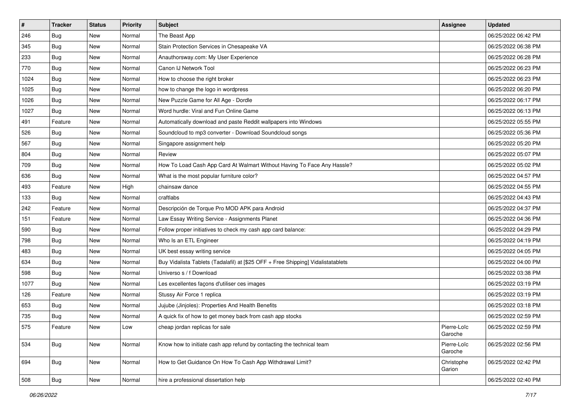| $\vert$ # | <b>Tracker</b> | <b>Status</b> | <b>Priority</b> | <b>Subject</b>                                                                   | <b>Assignee</b>        | <b>Updated</b>      |
|-----------|----------------|---------------|-----------------|----------------------------------------------------------------------------------|------------------------|---------------------|
| 246       | Bug            | New           | Normal          | The Beast App                                                                    |                        | 06/25/2022 06:42 PM |
| 345       | Bug            | New           | Normal          | Stain Protection Services in Chesapeake VA                                       |                        | 06/25/2022 06:38 PM |
| 233       | <b>Bug</b>     | New           | Normal          | Anauthorsway.com: My User Experience                                             |                        | 06/25/2022 06:28 PM |
| 770       | <b>Bug</b>     | New           | Normal          | Canon IJ Network Tool                                                            |                        | 06/25/2022 06:23 PM |
| 1024      | Bug            | New           | Normal          | How to choose the right broker                                                   |                        | 06/25/2022 06:23 PM |
| 1025      | <b>Bug</b>     | New           | Normal          | how to change the logo in wordpress                                              |                        | 06/25/2022 06:20 PM |
| 1026      | Bug            | New           | Normal          | New Puzzle Game for All Age - Dordle                                             |                        | 06/25/2022 06:17 PM |
| 1027      | Bug            | New           | Normal          | Word hurdle: Viral and Fun Online Game                                           |                        | 06/25/2022 06:13 PM |
| 491       | Feature        | New           | Normal          | Automatically download and paste Reddit wallpapers into Windows                  |                        | 06/25/2022 05:55 PM |
| 526       | Bug            | New           | Normal          | Soundcloud to mp3 converter - Download Soundcloud songs                          |                        | 06/25/2022 05:36 PM |
| 567       | Bug            | New           | Normal          | Singapore assignment help                                                        |                        | 06/25/2022 05:20 PM |
| 804       | <b>Bug</b>     | New           | Normal          | Review                                                                           |                        | 06/25/2022 05:07 PM |
| 709       | <b>Bug</b>     | New           | Normal          | How To Load Cash App Card At Walmart Without Having To Face Any Hassle?          |                        | 06/25/2022 05:02 PM |
| 636       | <b>Bug</b>     | New           | Normal          | What is the most popular furniture color?                                        |                        | 06/25/2022 04:57 PM |
| 493       | Feature        | New           | High            | chainsaw dance                                                                   |                        | 06/25/2022 04:55 PM |
| 133       | <b>Bug</b>     | New           | Normal          | craftlabs                                                                        |                        | 06/25/2022 04:43 PM |
| 242       | Feature        | New           | Normal          | Descripción de Torque Pro MOD APK para Android                                   |                        | 06/25/2022 04:37 PM |
| 151       | Feature        | New           | Normal          | Law Essay Writing Service - Assignments Planet                                   |                        | 06/25/2022 04:36 PM |
| 590       | Bug            | New           | Normal          | Follow proper initiatives to check my cash app card balance:                     |                        | 06/25/2022 04:29 PM |
| 798       | Bug            | New           | Normal          | Who Is an ETL Engineer                                                           |                        | 06/25/2022 04:19 PM |
| 483       | Bug            | New           | Normal          | UK best essay writing service                                                    |                        | 06/25/2022 04:05 PM |
| 634       | Bug            | New           | Normal          | Buy Vidalista Tablets (Tadalafil) at [\$25 OFF + Free Shipping] Vidalistatablets |                        | 06/25/2022 04:00 PM |
| 598       | Bug            | New           | Normal          | Universo s / f Download                                                          |                        | 06/25/2022 03:38 PM |
| 1077      | <b>Bug</b>     | New           | Normal          | Les excellentes façons d'utiliser ces images                                     |                        | 06/25/2022 03:19 PM |
| 126       | Feature        | New           | Normal          | Stussy Air Force 1 replica                                                       |                        | 06/25/2022 03:19 PM |
| 653       | <b>Bug</b>     | New           | Normal          | Jujube (Jinjoles): Properties And Health Benefits                                |                        | 06/25/2022 03:18 PM |
| 735       | <b>Bug</b>     | New           | Normal          | A quick fix of how to get money back from cash app stocks                        |                        | 06/25/2022 02:59 PM |
| 575       | Feature        | New           | Low             | cheap jordan replicas for sale                                                   | Pierre-Loïc<br>Garoche | 06/25/2022 02:59 PM |
| 534       | Bug            | New           | Normal          | Know how to initiate cash app refund by contacting the technical team            | Pierre-Loïc<br>Garoche | 06/25/2022 02:56 PM |
| 694       | Bug            | New           | Normal          | How to Get Guidance On How To Cash App Withdrawal Limit?                         | Christophe<br>Garion   | 06/25/2022 02:42 PM |
| 508       | <b>Bug</b>     | New           | Normal          | hire a professional dissertation help                                            |                        | 06/25/2022 02:40 PM |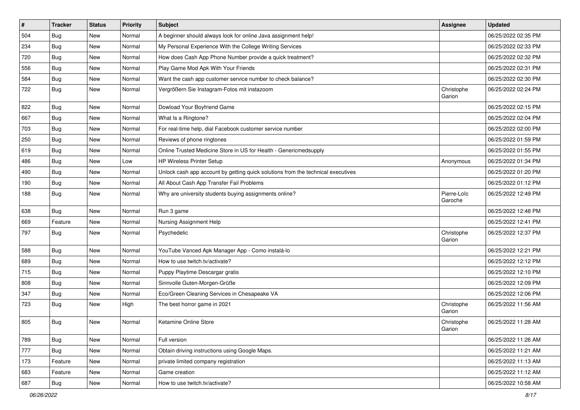| $\vert$ # | <b>Tracker</b> | <b>Status</b> | <b>Priority</b> | Subject                                                                          | <b>Assignee</b>        | <b>Updated</b>      |
|-----------|----------------|---------------|-----------------|----------------------------------------------------------------------------------|------------------------|---------------------|
| 504       | <b>Bug</b>     | New           | Normal          | A beginner should always look for online Java assignment help!                   |                        | 06/25/2022 02:35 PM |
| 234       | Bug            | New           | Normal          | My Personal Experience With the College Writing Services                         |                        | 06/25/2022 02:33 PM |
| 720       | Bug            | New           | Normal          | How does Cash App Phone Number provide a quick treatment?                        |                        | 06/25/2022 02:32 PM |
| 556       | <b>Bug</b>     | New           | Normal          | Play Game Mod Apk With Your Friends                                              |                        | 06/25/2022 02:31 PM |
| 584       | Bug            | New           | Normal          | Want the cash app customer service number to check balance?                      |                        | 06/25/2022 02:30 PM |
| 722       | Bug            | New           | Normal          | Vergrößern Sie Instagram-Fotos mit instazoom                                     | Christophe<br>Garion   | 06/25/2022 02:24 PM |
| 822       | Bug            | New           | Normal          | Dowload Your Boyfriend Game                                                      |                        | 06/25/2022 02:15 PM |
| 667       | <b>Bug</b>     | New           | Normal          | What Is a Ringtone?                                                              |                        | 06/25/2022 02:04 PM |
| 703       | Bug            | New           | Normal          | For real-time help, dial Facebook customer service number                        |                        | 06/25/2022 02:00 PM |
| 250       | Bug            | New           | Normal          | Reviews of phone ringtones                                                       |                        | 06/25/2022 01:59 PM |
| 619       | <b>Bug</b>     | New           | Normal          | Online Trusted Medicine Store in US for Health - Genericmedsupply                |                        | 06/25/2022 01:55 PM |
| 486       | Bug            | New           | Low             | <b>HP Wireless Printer Setup</b>                                                 | Anonymous              | 06/25/2022 01:34 PM |
| 490       | <b>Bug</b>     | New           | Normal          | Unlock cash app account by getting quick solutions from the technical executives |                        | 06/25/2022 01:20 PM |
| 190       | Bug            | New           | Normal          | All About Cash App Transfer Fail Problems                                        |                        | 06/25/2022 01:12 PM |
| 188       | Bug            | New           | Normal          | Why are university students buying assignments online?                           | Pierre-Loïc<br>Garoche | 06/25/2022 12:49 PM |
| 638       | <b>Bug</b>     | New           | Normal          | Run 3 game                                                                       |                        | 06/25/2022 12:48 PM |
| 669       | Feature        | New           | Normal          | Nursing Assignment Help                                                          |                        | 06/25/2022 12:41 PM |
| 797       | <b>Bug</b>     | New           | Normal          | Psychedelic                                                                      | Christophe<br>Garion   | 06/25/2022 12:37 PM |
| 588       | Bug            | New           | Normal          | YouTube Vanced Apk Manager App - Como instalá-lo                                 |                        | 06/25/2022 12:21 PM |
| 689       | Bug            | New           | Normal          | How to use twitch.tv/activate?                                                   |                        | 06/25/2022 12:12 PM |
| 715       | <b>Bug</b>     | New           | Normal          | Puppy Playtime Descargar gratis                                                  |                        | 06/25/2022 12:10 PM |
| 808       | Bug            | New           | Normal          | Sinnvolle Guten-Morgen-Grüße                                                     |                        | 06/25/2022 12:09 PM |
| 347       | Bug            | New           | Normal          | Eco/Green Cleaning Services in Chesapeake VA                                     |                        | 06/25/2022 12:06 PM |
| 723       | <b>Bug</b>     | New           | High            | The best horror game in 2021                                                     | Christophe<br>Garion   | 06/25/2022 11:56 AM |
| 805       | <b>Bug</b>     | New           | Normal          | Ketamine Online Store                                                            | Christophe<br>Garion   | 06/25/2022 11:28 AM |
| 789       | Bug            | New           | Normal          | Full version                                                                     |                        | 06/25/2022 11:26 AM |
| 777       | Bug            | New           | Normal          | Obtain driving instructions using Google Maps.                                   |                        | 06/25/2022 11:21 AM |
| 173       | Feature        | New           | Normal          | private limited company registration                                             |                        | 06/25/2022 11:13 AM |
| 683       | Feature        | New           | Normal          | Game creation                                                                    |                        | 06/25/2022 11:12 AM |
| 687       | <b>Bug</b>     | New           | Normal          | How to use twitch.tv/activate?                                                   |                        | 06/25/2022 10:58 AM |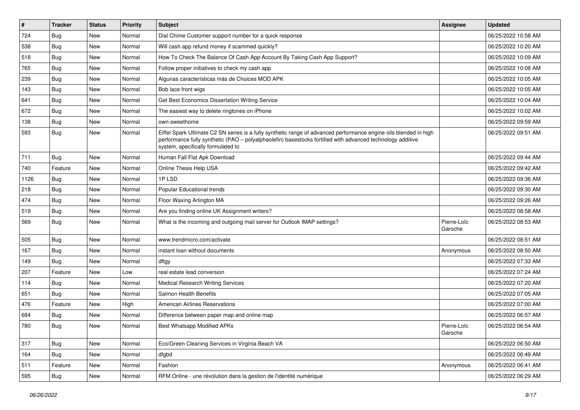| $\vert$ # | <b>Tracker</b> | <b>Status</b> | <b>Priority</b> | Subject                                                                                                                                                                                                                                                               | <b>Assignee</b>        | <b>Updated</b>      |
|-----------|----------------|---------------|-----------------|-----------------------------------------------------------------------------------------------------------------------------------------------------------------------------------------------------------------------------------------------------------------------|------------------------|---------------------|
| 724       | Bug            | New           | Normal          | Dial Chime Customer support number for a quick response                                                                                                                                                                                                               |                        | 06/25/2022 10:58 AM |
| 538       | Bug            | <b>New</b>    | Normal          | Will cash app refund money if scammed quickly?                                                                                                                                                                                                                        |                        | 06/25/2022 10:20 AM |
| 518       | Bug            | New           | Normal          | How To Check The Balance Of Cash App Account By Taking Cash App Support?                                                                                                                                                                                              |                        | 06/25/2022 10:09 AM |
| 765       | Bug            | New           | Normal          | Follow proper initiatives to check my cash app                                                                                                                                                                                                                        |                        | 06/25/2022 10:08 AM |
| 239       | <b>Bug</b>     | New           | Normal          | Algunas características más de Choices MOD APK                                                                                                                                                                                                                        |                        | 06/25/2022 10:05 AM |
| 143       | <b>Bug</b>     | New           | Normal          | Bob lace front wigs                                                                                                                                                                                                                                                   |                        | 06/25/2022 10:05 AM |
| 641       | <b>Bug</b>     | New           | Normal          | Get Best Economics Dissertation Writing Service                                                                                                                                                                                                                       |                        | 06/25/2022 10:04 AM |
| 672       | Bug            | New           | Normal          | The easiest way to delete ringtones on iPhone                                                                                                                                                                                                                         |                        | 06/25/2022 10:02 AM |
| 138       | <b>Bug</b>     | New           | Normal          | own-sweethome                                                                                                                                                                                                                                                         |                        | 06/25/2022 09:59 AM |
| 593       | Bug            | New           | Normal          | Eiffel Spark Ultimate C2 SN series is a fully synthetic range of advanced performance engine oils blended in high<br>performance fully synthetic (PAO - polyalphaolefin) basestocks fortified with advanced technology additive<br>system, specifically formulated to |                        | 06/25/2022 09:51 AM |
| 711       | Bug            | New           | Normal          | Human Fall Flat Apk Download                                                                                                                                                                                                                                          |                        | 06/25/2022 09:44 AM |
| 740       | Feature        | New           | Normal          | Online Thesis Help USA                                                                                                                                                                                                                                                |                        | 06/25/2022 09:42 AM |
| 1126      | <b>Bug</b>     | New           | Normal          | 1PLSD                                                                                                                                                                                                                                                                 |                        | 06/25/2022 09:36 AM |
| 218       | <b>Bug</b>     | New           | Normal          | Popular Educational trends                                                                                                                                                                                                                                            |                        | 06/25/2022 09:30 AM |
| 474       | <b>Bug</b>     | New           | Normal          | Floor Waxing Arlington MA                                                                                                                                                                                                                                             |                        | 06/25/2022 09:26 AM |
| 519       | Bug            | New           | Normal          | Are you finding online UK Assignment writers?                                                                                                                                                                                                                         |                        | 06/25/2022 08:58 AM |
| 569       | Bug            | New           | Normal          | What is the incoming and outgoing mail server for Outlook IMAP settings?                                                                                                                                                                                              | Pierre-Loïc<br>Garoche | 06/25/2022 08:53 AM |
| 505       | Bug            | <b>New</b>    | Normal          | www.trendmicro.com/activate                                                                                                                                                                                                                                           |                        | 06/25/2022 08:51 AM |
| 167       | <b>Bug</b>     | New           | Normal          | instant loan without documents                                                                                                                                                                                                                                        | Anonymous              | 06/25/2022 08:50 AM |
| 149       | <b>Bug</b>     | <b>New</b>    | Normal          | dftgy                                                                                                                                                                                                                                                                 |                        | 06/25/2022 07:33 AM |
| 207       | Feature        | New           | Low             | real estate lead conversion                                                                                                                                                                                                                                           |                        | 06/25/2022 07:24 AM |
| 114       | <b>Bug</b>     | New           | Normal          | <b>Medical Research Writing Services</b>                                                                                                                                                                                                                              |                        | 06/25/2022 07:20 AM |
| 651       | <b>Bug</b>     | New           | Normal          | Salmon Health Benefits                                                                                                                                                                                                                                                |                        | 06/25/2022 07:05 AM |
| 476       | Feature        | New           | High            | <b>American Airlines Reservations</b>                                                                                                                                                                                                                                 |                        | 06/25/2022 07:00 AM |
| 684       | <b>Bug</b>     | New           | Normal          | Difference between paper map and online map                                                                                                                                                                                                                           |                        | 06/25/2022 06:57 AM |
| 780       | Bug            | New           | Normal          | Best Whatsapp Modified APKs                                                                                                                                                                                                                                           | Pierre-Loïc<br>Garoche | 06/25/2022 06:54 AM |
| 317       | Bug            | New           | Normal          | Eco/Green Cleaning Services in Virginia Beach VA                                                                                                                                                                                                                      |                        | 06/25/2022 06:50 AM |
| 164       | <b>Bug</b>     | New           | Normal          | dfgbd                                                                                                                                                                                                                                                                 |                        | 06/25/2022 06:49 AM |
| 511       | Feature        | New           | Normal          | Fashion                                                                                                                                                                                                                                                               | Anonymous              | 06/25/2022 06:41 AM |
| 595       | <b>Bug</b>     | New           | Normal          | RFM Online - une révolution dans la gestion de l'identité numérique                                                                                                                                                                                                   |                        | 06/25/2022 06:29 AM |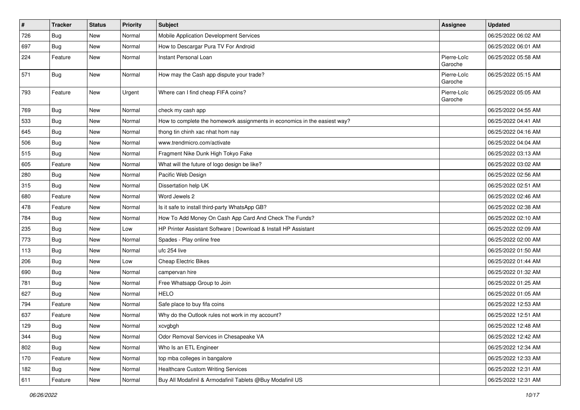| $\vert$ # | <b>Tracker</b> | <b>Status</b> | <b>Priority</b> | Subject                                                                   | <b>Assignee</b>        | <b>Updated</b>      |
|-----------|----------------|---------------|-----------------|---------------------------------------------------------------------------|------------------------|---------------------|
| 726       | <b>Bug</b>     | New           | Normal          | Mobile Application Development Services                                   |                        | 06/25/2022 06:02 AM |
| 697       | Bug            | New           | Normal          | How to Descargar Pura TV For Android                                      |                        | 06/25/2022 06:01 AM |
| 224       | Feature        | New           | Normal          | <b>Instant Personal Loan</b>                                              | Pierre-Loïc<br>Garoche | 06/25/2022 05:58 AM |
| 571       | Bug            | New           | Normal          | How may the Cash app dispute your trade?                                  | Pierre-Loïc<br>Garoche | 06/25/2022 05:15 AM |
| 793       | Feature        | New           | Urgent          | Where can I find cheap FIFA coins?                                        | Pierre-Loïc<br>Garoche | 06/25/2022 05:05 AM |
| 769       | Bug            | New           | Normal          | check my cash app                                                         |                        | 06/25/2022 04:55 AM |
| 533       | Bug            | New           | Normal          | How to complete the homework assignments in economics in the easiest way? |                        | 06/25/2022 04:41 AM |
| 645       | Bug            | New           | Normal          | thong tin chinh xac nhat hom nay                                          |                        | 06/25/2022 04:16 AM |
| 506       | <b>Bug</b>     | New           | Normal          | www.trendmicro.com/activate                                               |                        | 06/25/2022 04:04 AM |
| 515       | Bug            | New           | Normal          | Fragment Nike Dunk High Tokyo Fake                                        |                        | 06/25/2022 03:13 AM |
| 605       | Feature        | New           | Normal          | What will the future of logo design be like?                              |                        | 06/25/2022 03:02 AM |
| 280       | Bug            | New           | Normal          | Pacific Web Design                                                        |                        | 06/25/2022 02:56 AM |
| 315       | <b>Bug</b>     | New           | Normal          | Dissertation help UK                                                      |                        | 06/25/2022 02:51 AM |
| 680       | Feature        | New           | Normal          | Word Jewels 2                                                             |                        | 06/25/2022 02:46 AM |
| 478       | Feature        | New           | Normal          | Is it safe to install third-party WhatsApp GB?                            |                        | 06/25/2022 02:38 AM |
| 784       | <b>Bug</b>     | New           | Normal          | How To Add Money On Cash App Card And Check The Funds?                    |                        | 06/25/2022 02:10 AM |
| 235       | <b>Bug</b>     | New           | Low             | HP Printer Assistant Software   Download & Install HP Assistant           |                        | 06/25/2022 02:09 AM |
| 773       | Bug            | New           | Normal          | Spades - Play online free                                                 |                        | 06/25/2022 02:00 AM |
| 113       | Bug            | New           | Normal          | ufc 254 live                                                              |                        | 06/25/2022 01:50 AM |
| 206       | Bug            | New           | Low             | <b>Cheap Electric Bikes</b>                                               |                        | 06/25/2022 01:44 AM |
| 690       | <b>Bug</b>     | New           | Normal          | campervan hire                                                            |                        | 06/25/2022 01:32 AM |
| 781       | Bug            | New           | Normal          | Free Whatsapp Group to Join                                               |                        | 06/25/2022 01:25 AM |
| 627       | Bug            | New           | Normal          | <b>HELO</b>                                                               |                        | 06/25/2022 01:05 AM |
| 794       | Feature        | New           | Normal          | Safe place to buy fifa coins                                              |                        | 06/25/2022 12:53 AM |
| 637       | Feature        | New           | Normal          | Why do the Outlook rules not work in my account?                          |                        | 06/25/2022 12:51 AM |
| 129       | Bug            | New           | Normal          | xcvgbgh                                                                   |                        | 06/25/2022 12:48 AM |
| 344       | <b>Bug</b>     | New           | Normal          | Odor Removal Services in Chesapeake VA                                    |                        | 06/25/2022 12:42 AM |
| 802       | Bug            | New           | Normal          | Who Is an ETL Engineer                                                    |                        | 06/25/2022 12:34 AM |
| 170       | Feature        | New           | Normal          | top mba colleges in bangalore                                             |                        | 06/25/2022 12:33 AM |
| 182       | <b>Bug</b>     | New           | Normal          | <b>Healthcare Custom Writing Services</b>                                 |                        | 06/25/2022 12:31 AM |
| 611       | Feature        | New           | Normal          | Buy All Modafinil & Armodafinil Tablets @Buy Modafinil US                 |                        | 06/25/2022 12:31 AM |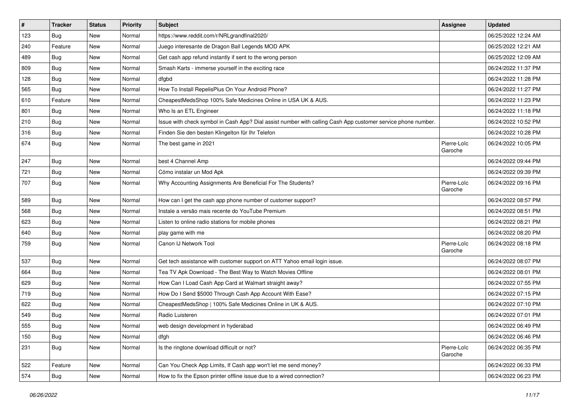| $\vert$ # | <b>Tracker</b> | <b>Status</b> | Priority | Subject                                                                                                      | <b>Assignee</b>        | <b>Updated</b>      |
|-----------|----------------|---------------|----------|--------------------------------------------------------------------------------------------------------------|------------------------|---------------------|
| 123       | <b>Bug</b>     | New           | Normal   | https://www.reddit.com/r/NRLgrandfinal2020/                                                                  |                        | 06/25/2022 12:24 AM |
| 240       | Feature        | New           | Normal   | Juego interesante de Dragon Ball Legends MOD APK                                                             |                        | 06/25/2022 12:21 AM |
| 489       | Bug            | New           | Normal   | Get cash app refund instantly if sent to the wrong person                                                    |                        | 06/25/2022 12:09 AM |
| 809       | <b>Bug</b>     | New           | Normal   | Smash Karts - immerse yourself in the exciting race                                                          |                        | 06/24/2022 11:37 PM |
| 128       | <b>Bug</b>     | New           | Normal   | dfgbd                                                                                                        |                        | 06/24/2022 11:28 PM |
| 565       | <b>Bug</b>     | New           | Normal   | How To Install RepelisPlus On Your Android Phone?                                                            |                        | 06/24/2022 11:27 PM |
| 610       | Feature        | New           | Normal   | CheapestMedsShop 100% Safe Medicines Online in USA UK & AUS.                                                 |                        | 06/24/2022 11:23 PM |
| 801       | Bug            | New           | Normal   | Who Is an ETL Engineer                                                                                       |                        | 06/24/2022 11:18 PM |
| 210       | <b>Bug</b>     | New           | Normal   | Issue with check symbol in Cash App? Dial assist number with calling Cash App customer service phone number. |                        | 06/24/2022 10:52 PM |
| 316       | Bug            | New           | Normal   | Finden Sie den besten Klingelton für Ihr Telefon                                                             |                        | 06/24/2022 10:28 PM |
| 674       | Bug            | New           | Normal   | The best game in 2021                                                                                        | Pierre-Loïc<br>Garoche | 06/24/2022 10:05 PM |
| 247       | <b>Bug</b>     | New           | Normal   | best 4 Channel Amp                                                                                           |                        | 06/24/2022 09:44 PM |
| 721       | Bug            | New           | Normal   | Cómo instalar un Mod Apk                                                                                     |                        | 06/24/2022 09:39 PM |
| 707       | <b>Bug</b>     | New           | Normal   | Why Accounting Assignments Are Beneficial For The Students?                                                  | Pierre-Loïc<br>Garoche | 06/24/2022 09:16 PM |
| 589       | <b>Bug</b>     | New           | Normal   | How can I get the cash app phone number of customer support?                                                 |                        | 06/24/2022 08:57 PM |
| 568       | Bug            | New           | Normal   | Instale a versão mais recente do YouTube Premium                                                             |                        | 06/24/2022 08:51 PM |
| 623       | <b>Bug</b>     | New           | Normal   | Listen to online radio stations for mobile phones                                                            |                        | 06/24/2022 08:21 PM |
| 640       | <b>Bug</b>     | New           | Normal   | play game with me                                                                                            |                        | 06/24/2022 08:20 PM |
| 759       | Bug            | New           | Normal   | Canon IJ Network Tool                                                                                        | Pierre-Loïc<br>Garoche | 06/24/2022 08:18 PM |
| 537       | <b>Bug</b>     | New           | Normal   | Get tech assistance with customer support on ATT Yahoo email login issue.                                    |                        | 06/24/2022 08:07 PM |
| 664       | <b>Bug</b>     | New           | Normal   | Tea TV Apk Download - The Best Way to Watch Movies Offline                                                   |                        | 06/24/2022 08:01 PM |
| 629       | <b>Bug</b>     | New           | Normal   | How Can I Load Cash App Card at Walmart straight away?                                                       |                        | 06/24/2022 07:55 PM |
| 719       | Bug            | New           | Normal   | How Do I Send \$5000 Through Cash App Account With Ease?                                                     |                        | 06/24/2022 07:15 PM |
| 622       | <b>Bug</b>     | New           | Normal   | CheapestMedsShop   100% Safe Medicines Online in UK & AUS.                                                   |                        | 06/24/2022 07:10 PM |
| 549       | <b>Bug</b>     | New           | Normal   | Radio Luisteren                                                                                              |                        | 06/24/2022 07:01 PM |
| 555       | Bug            | New           | Normal   | web design development in hyderabad                                                                          |                        | 06/24/2022 06:49 PM |
| 150       | <b>Bug</b>     | New           | Normal   | dfgh                                                                                                         |                        | 06/24/2022 06:46 PM |
| 231       | Bug            | New           | Normal   | Is the ringtone download difficult or not?                                                                   | Pierre-Loïc<br>Garoche | 06/24/2022 06:35 PM |
| 522       | Feature        | New           | Normal   | Can You Check App Limits, If Cash app won't let me send money?                                               |                        | 06/24/2022 06:33 PM |
| 574       | <b>Bug</b>     | New           | Normal   | How to fix the Epson printer offline issue due to a wired connection?                                        |                        | 06/24/2022 06:23 PM |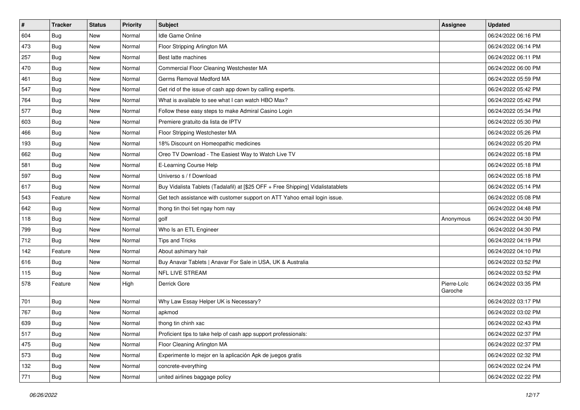| $\vert$ # | <b>Tracker</b> | <b>Status</b> | <b>Priority</b> | Subject                                                                          | <b>Assignee</b>        | <b>Updated</b>      |
|-----------|----------------|---------------|-----------------|----------------------------------------------------------------------------------|------------------------|---------------------|
| 604       | <b>Bug</b>     | New           | Normal          | Idle Game Online                                                                 |                        | 06/24/2022 06:16 PM |
| 473       | <b>Bug</b>     | New           | Normal          | Floor Stripping Arlington MA                                                     |                        | 06/24/2022 06:14 PM |
| 257       | Bug            | New           | Normal          | Best latte machines                                                              |                        | 06/24/2022 06:11 PM |
| 470       | <b>Bug</b>     | New           | Normal          | Commercial Floor Cleaning Westchester MA                                         |                        | 06/24/2022 06:00 PM |
| 461       | Bug            | New           | Normal          | Germs Removal Medford MA                                                         |                        | 06/24/2022 05:59 PM |
| 547       | <b>Bug</b>     | New           | Normal          | Get rid of the issue of cash app down by calling experts.                        |                        | 06/24/2022 05:42 PM |
| 764       | Bug            | New           | Normal          | What is available to see what I can watch HBO Max?                               |                        | 06/24/2022 05:42 PM |
| 577       | <b>Bug</b>     | New           | Normal          | Follow these easy steps to make Admiral Casino Login                             |                        | 06/24/2022 05:34 PM |
| 603       | <b>Bug</b>     | New           | Normal          | Premiere gratuito da lista de IPTV                                               |                        | 06/24/2022 05:30 PM |
| 466       | Bug            | New           | Normal          | Floor Stripping Westchester MA                                                   |                        | 06/24/2022 05:26 PM |
| 193       | Bug            | New           | Normal          | 18% Discount on Homeopathic medicines                                            |                        | 06/24/2022 05:20 PM |
| 662       | <b>Bug</b>     | New           | Normal          | Oreo TV Download - The Easiest Way to Watch Live TV                              |                        | 06/24/2022 05:18 PM |
| 581       | Bug            | <b>New</b>    | Normal          | E-Learning Course Help                                                           |                        | 06/24/2022 05:18 PM |
| 597       | Bug            | New           | Normal          | Universo s / f Download                                                          |                        | 06/24/2022 05:18 PM |
| 617       | Bug            | New           | Normal          | Buy Vidalista Tablets (Tadalafil) at [\$25 OFF + Free Shipping] Vidalistatablets |                        | 06/24/2022 05:14 PM |
| 543       | Feature        | New           | Normal          | Get tech assistance with customer support on ATT Yahoo email login issue.        |                        | 06/24/2022 05:08 PM |
| 642       | <b>Bug</b>     | New           | Normal          | thong tin thoi tiet ngay hom nay                                                 |                        | 06/24/2022 04:48 PM |
| 118       | Bug            | New           | Normal          | golf                                                                             | Anonymous              | 06/24/2022 04:30 PM |
| 799       | <b>Bug</b>     | New           | Normal          | Who Is an ETL Engineer                                                           |                        | 06/24/2022 04:30 PM |
| 712       | <b>Bug</b>     | New           | Normal          | <b>Tips and Tricks</b>                                                           |                        | 06/24/2022 04:19 PM |
| 142       | Feature        | New           | Normal          | About ashimary hair                                                              |                        | 06/24/2022 04:10 PM |
| 616       | <b>Bug</b>     | New           | Normal          | Buy Anavar Tablets   Anavar For Sale in USA, UK & Australia                      |                        | 06/24/2022 03:52 PM |
| 115       | Bug            | New           | Normal          | NFL LIVE STREAM                                                                  |                        | 06/24/2022 03:52 PM |
| 578       | Feature        | New           | High            | Derrick Gore                                                                     | Pierre-Loïc<br>Garoche | 06/24/2022 03:35 PM |
| 701       | Bug            | New           | Normal          | Why Law Essay Helper UK is Necessary?                                            |                        | 06/24/2022 03:17 PM |
| 767       | <b>Bug</b>     | New           | Normal          | apkmod                                                                           |                        | 06/24/2022 03:02 PM |
| 639       | <b>Bug</b>     | New           | Normal          | thong tin chinh xac                                                              |                        | 06/24/2022 02:43 PM |
| 517       | <b>Bug</b>     | New           | Normal          | Proficient tips to take help of cash app support professionals:                  |                        | 06/24/2022 02:37 PM |
| 475       | <b>Bug</b>     | New           | Normal          | Floor Cleaning Arlington MA                                                      |                        | 06/24/2022 02:37 PM |
| 573       | Bug            | New           | Normal          | Experimente lo mejor en la aplicación Apk de juegos gratis                       |                        | 06/24/2022 02:32 PM |
| 132       | <b>Bug</b>     | New           | Normal          | concrete-everything                                                              |                        | 06/24/2022 02:24 PM |
| 771       | <b>Bug</b>     | New           | Normal          | united airlines baggage policy                                                   |                        | 06/24/2022 02:22 PM |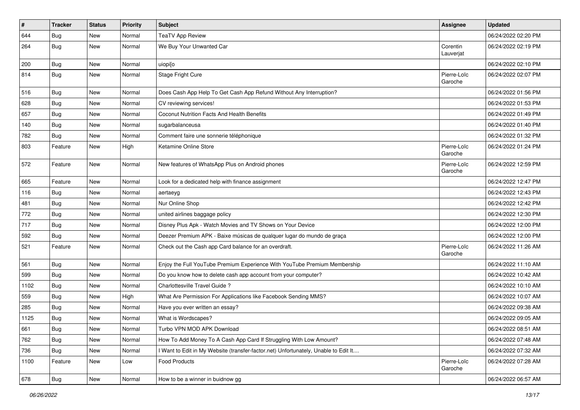| #    | <b>Tracker</b> | <b>Status</b> | <b>Priority</b> | <b>Subject</b>                                                                    | <b>Assignee</b>        | <b>Updated</b>      |
|------|----------------|---------------|-----------------|-----------------------------------------------------------------------------------|------------------------|---------------------|
| 644  | <b>Bug</b>     | New           | Normal          | <b>TeaTV App Review</b>                                                           |                        | 06/24/2022 02:20 PM |
| 264  | <b>Bug</b>     | New           | Normal          | We Buy Your Unwanted Car                                                          | Corentin<br>Lauverjat  | 06/24/2022 02:19 PM |
| 200  | Bug            | New           | Normal          | uiopi[o                                                                           |                        | 06/24/2022 02:10 PM |
| 814  | <b>Bug</b>     | New           | Normal          | Stage Fright Cure                                                                 | Pierre-Loïc<br>Garoche | 06/24/2022 02:07 PM |
| 516  | <b>Bug</b>     | New           | Normal          | Does Cash App Help To Get Cash App Refund Without Any Interruption?               |                        | 06/24/2022 01:56 PM |
| 628  | Bug            | New           | Normal          | CV reviewing services!                                                            |                        | 06/24/2022 01:53 PM |
| 657  | <b>Bug</b>     | New           | Normal          | <b>Coconut Nutrition Facts And Health Benefits</b>                                |                        | 06/24/2022 01:49 PM |
| 140  | Bug            | New           | Normal          | sugarbalanceusa                                                                   |                        | 06/24/2022 01:40 PM |
| 782  | <b>Bug</b>     | New           | Normal          | Comment faire une sonnerie téléphonique                                           |                        | 06/24/2022 01:32 PM |
| 803  | Feature        | New           | High            | Ketamine Online Store                                                             | Pierre-Loïc<br>Garoche | 06/24/2022 01:24 PM |
| 572  | Feature        | New           | Normal          | New features of WhatsApp Plus on Android phones                                   | Pierre-Loïc<br>Garoche | 06/24/2022 12:59 PM |
| 665  | Feature        | New           | Normal          | Look for a dedicated help with finance assignment                                 |                        | 06/24/2022 12:47 PM |
| 116  | <b>Bug</b>     | New           | Normal          | aertaeyg                                                                          |                        | 06/24/2022 12:43 PM |
| 481  | Bug            | New           | Normal          | Nur Online Shop                                                                   |                        | 06/24/2022 12:42 PM |
| 772  | <b>Bug</b>     | New           | Normal          | united airlines baggage policy                                                    |                        | 06/24/2022 12:30 PM |
| 717  | <b>Bug</b>     | New           | Normal          | Disney Plus Apk - Watch Movies and TV Shows on Your Device                        |                        | 06/24/2022 12:00 PM |
| 592  | <b>Bug</b>     | New           | Normal          | Deezer Premium APK - Baixe músicas de qualquer lugar do mundo de graça            |                        | 06/24/2022 12:00 PM |
| 521  | Feature        | New           | Normal          | Check out the Cash app Card balance for an overdraft.                             | Pierre-Loïc<br>Garoche | 06/24/2022 11:26 AM |
| 561  | Bug            | New           | Normal          | Enjoy the Full YouTube Premium Experience With YouTube Premium Membership         |                        | 06/24/2022 11:10 AM |
| 599  | <b>Bug</b>     | New           | Normal          | Do you know how to delete cash app account from your computer?                    |                        | 06/24/2022 10:42 AM |
| 1102 | Bug            | New           | Normal          | Charlottesville Travel Guide?                                                     |                        | 06/24/2022 10:10 AM |
| 559  | <b>Bug</b>     | New           | High            | What Are Permission For Applications like Facebook Sending MMS?                   |                        | 06/24/2022 10:07 AM |
| 285  | <b>Bug</b>     | New           | Normal          | Have you ever written an essay?                                                   |                        | 06/24/2022 09:38 AM |
| 1125 | <b>Bug</b>     | New           | Normal          | What is Wordscapes?                                                               |                        | 06/24/2022 09:05 AM |
| 661  | <b>Bug</b>     | New           | Normal          | Turbo VPN MOD APK Download                                                        |                        | 06/24/2022 08:51 AM |
| 762  | Bug            | New           | Normal          | How To Add Money To A Cash App Card If Struggling With Low Amount?                |                        | 06/24/2022 07:48 AM |
| 736  | <b>Bug</b>     | New           | Normal          | Want to Edit in My Website (transfer-factor.net) Unfortunately, Unable to Edit It |                        | 06/24/2022 07:32 AM |
| 1100 | Feature        | New           | Low             | Food Products                                                                     | Pierre-Loïc<br>Garoche | 06/24/2022 07:28 AM |
| 678  | <b>Bug</b>     | New           | Normal          | How to be a winner in buidnow gg                                                  |                        | 06/24/2022 06:57 AM |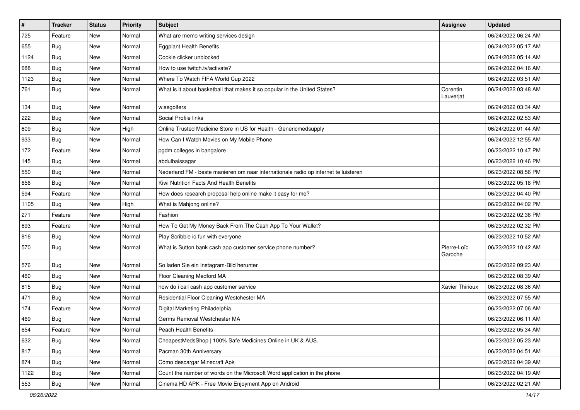| $\vert$ # | <b>Tracker</b> | <b>Status</b> | <b>Priority</b> | Subject                                                                             | <b>Assignee</b>        | <b>Updated</b>      |
|-----------|----------------|---------------|-----------------|-------------------------------------------------------------------------------------|------------------------|---------------------|
| 725       | Feature        | New           | Normal          | What are memo writing services design                                               |                        | 06/24/2022 06:24 AM |
| 655       | Bug            | New           | Normal          | <b>Eggplant Health Benefits</b>                                                     |                        | 06/24/2022 05:17 AM |
| 1124      | Bug            | New           | Normal          | Cookie clicker unblocked                                                            |                        | 06/24/2022 05:14 AM |
| 688       | <b>Bug</b>     | New           | Normal          | How to use twitch.tv/activate?                                                      |                        | 06/24/2022 04:16 AM |
| 1123      | Bug            | New           | Normal          | Where To Watch FIFA World Cup 2022                                                  |                        | 06/24/2022 03:51 AM |
| 761       | Bug            | New           | Normal          | What is it about basketball that makes it so popular in the United States?          | Corentin<br>Lauverjat  | 06/24/2022 03:48 AM |
| 134       | Bug            | New           | Normal          | wisegolfers                                                                         |                        | 06/24/2022 03:34 AM |
| 222       | Bug            | New           | Normal          | Social Profile links                                                                |                        | 06/24/2022 02:53 AM |
| 609       | Bug            | <b>New</b>    | High            | Online Trusted Medicine Store in US for Health - Genericmedsupply                   |                        | 06/24/2022 01:44 AM |
| 933       | Bug            | New           | Normal          | How Can I Watch Movies on My Mobile Phone                                           |                        | 06/24/2022 12:55 AM |
| 172       | Feature        | <b>New</b>    | Normal          | pgdm colleges in bangalore                                                          |                        | 06/23/2022 10:47 PM |
| 145       | Bug            | New           | Normal          | abdulbaissagar                                                                      |                        | 06/23/2022 10:46 PM |
| 550       | Bug            | New           | Normal          | Nederland FM - beste manieren om naar internationale radio op internet te luisteren |                        | 06/23/2022 08:56 PM |
| 656       | Bug            | New           | Normal          | Kiwi Nutrition Facts And Health Benefits                                            |                        | 06/23/2022 05:18 PM |
| 594       | Feature        | New           | Normal          | How does research proposal help online make it easy for me?                         |                        | 06/23/2022 04:40 PM |
| 1105      | Bug            | New           | High            | What is Mahjong online?                                                             |                        | 06/23/2022 04:02 PM |
| 271       | Feature        | New           | Normal          | Fashion                                                                             |                        | 06/23/2022 02:36 PM |
| 693       | Feature        | New           | Normal          | How To Get My Money Back From The Cash App To Your Wallet?                          |                        | 06/23/2022 02:32 PM |
| 816       | Bug            | New           | Normal          | Play Scribble io fun with everyone                                                  |                        | 06/23/2022 10:52 AM |
| 570       | Bug            | <b>New</b>    | Normal          | What is Sutton bank cash app customer service phone number?                         | Pierre-Loïc<br>Garoche | 06/23/2022 10:42 AM |
| 576       | Bug            | New           | Normal          | So laden Sie ein Instagram-Bild herunter                                            |                        | 06/23/2022 09:23 AM |
| 460       | Bug            | New           | Normal          | Floor Cleaning Medford MA                                                           |                        | 06/23/2022 08:39 AM |
| 815       | <b>Bug</b>     | <b>New</b>    | Normal          | how do i call cash app customer service                                             | Xavier Thirioux        | 06/23/2022 08:36 AM |
| 471       | Bug            | New           | Normal          | Residential Floor Cleaning Westchester MA                                           |                        | 06/23/2022 07:55 AM |
| 174       | Feature        | New           | Normal          | Digital Marketing Philadelphia                                                      |                        | 06/23/2022 07:06 AM |
| 469       | <b>Bug</b>     | New           | Normal          | Germs Removal Westchester MA                                                        |                        | 06/23/2022 06:11 AM |
| 654       | Feature        | New           | Normal          | Peach Health Benefits                                                               |                        | 06/23/2022 05:34 AM |
| 632       | Bug            | New           | Normal          | CheapestMedsShop   100% Safe Medicines Online in UK & AUS.                          |                        | 06/23/2022 05:23 AM |
| 817       | Bug            | New           | Normal          | Pacman 30th Anniversary                                                             |                        | 06/23/2022 04:51 AM |
| 874       | Bug            | New           | Normal          | Cómo descargar Minecraft Apk                                                        |                        | 06/23/2022 04:39 AM |
| 1122      | Bug            | New           | Normal          | Count the number of words on the Microsoft Word application in the phone            |                        | 06/23/2022 04:19 AM |
| 553       | <b>Bug</b>     | New           | Normal          | Cinema HD APK - Free Movie Enjoyment App on Android                                 |                        | 06/23/2022 02:21 AM |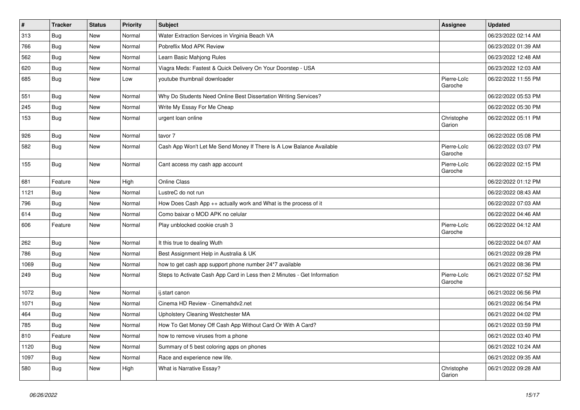| $\vert$ # | <b>Tracker</b> | <b>Status</b> | <b>Priority</b> | <b>Subject</b>                                                           | Assignee               | <b>Updated</b>      |
|-----------|----------------|---------------|-----------------|--------------------------------------------------------------------------|------------------------|---------------------|
| 313       | <b>Bug</b>     | <b>New</b>    | Normal          | Water Extraction Services in Virginia Beach VA                           |                        | 06/23/2022 02:14 AM |
| 766       | <b>Bug</b>     | <b>New</b>    | Normal          | Pobreflix Mod APK Review                                                 |                        | 06/23/2022 01:39 AM |
| 562       | Bug            | New           | Normal          | Learn Basic Mahjong Rules                                                |                        | 06/23/2022 12:48 AM |
| 620       | Bug            | New           | Normal          | Viagra Meds: Fastest & Quick Delivery On Your Doorstep - USA             |                        | 06/23/2022 12:03 AM |
| 685       | Bug            | New           | Low             | voutube thumbnail downloader                                             | Pierre-Loïc<br>Garoche | 06/22/2022 11:55 PM |
| 551       | Bug            | <b>New</b>    | Normal          | Why Do Students Need Online Best Dissertation Writing Services?          |                        | 06/22/2022 05:53 PM |
| 245       | <b>Bug</b>     | New           | Normal          | Write My Essay For Me Cheap                                              |                        | 06/22/2022 05:30 PM |
| 153       | <b>Bug</b>     | New           | Normal          | urgent loan online                                                       | Christophe<br>Garion   | 06/22/2022 05:11 PM |
| 926       | <b>Bug</b>     | New           | Normal          | tavor 7                                                                  |                        | 06/22/2022 05:08 PM |
| 582       | <b>Bug</b>     | New           | Normal          | Cash App Won't Let Me Send Money If There Is A Low Balance Available     | Pierre-Loïc<br>Garoche | 06/22/2022 03:07 PM |
| 155       | <b>Bug</b>     | New           | Normal          | Cant access my cash app account                                          | Pierre-Loïc<br>Garoche | 06/22/2022 02:15 PM |
| 681       | Feature        | New           | High            | <b>Online Class</b>                                                      |                        | 06/22/2022 01:12 PM |
| 1121      | Bug            | New           | Normal          | LustreC do not run                                                       |                        | 06/22/2022 08:43 AM |
| 796       | Bug            | New           | Normal          | How Does Cash App ++ actually work and What is the process of it         |                        | 06/22/2022 07:03 AM |
| 614       | <b>Bug</b>     | New           | Normal          | Como baixar o MOD APK no celular                                         |                        | 06/22/2022 04:46 AM |
| 606       | Feature        | New           | Normal          | Play unblocked cookie crush 3                                            | Pierre-Loïc<br>Garoche | 06/22/2022 04:12 AM |
| 262       | <b>Bug</b>     | New           | Normal          | It this true to dealing Wuth                                             |                        | 06/22/2022 04:07 AM |
| 786       | <b>Bug</b>     | <b>New</b>    | Normal          | Best Assignment Help in Australia & UK                                   |                        | 06/21/2022 09:28 PM |
| 1069      | <b>Bug</b>     | New           | Normal          | how to get cash app support phone number 24*7 available                  |                        | 06/21/2022 08:36 PM |
| 249       | Bug            | New           | Normal          | Steps to Activate Cash App Card in Less then 2 Minutes - Get Information | Pierre-Loïc<br>Garoche | 06/21/2022 07:52 PM |
| 1072      | Bug            | New           | Normal          | ii.start canon                                                           |                        | 06/21/2022 06:56 PM |
| 1071      | Bug            | New           | Normal          | Cinema HD Review - Cinemahdv2.net                                        |                        | 06/21/2022 06:54 PM |
| 464       | <b>Bug</b>     | New           | Normal          | Upholstery Cleaning Westchester MA                                       |                        | 06/21/2022 04:02 PM |
| 785       | <b>Bug</b>     | New           | Normal          | How To Get Money Off Cash App Without Card Or With A Card?               |                        | 06/21/2022 03:59 PM |
| 810       | Feature        | New           | Normal          | how to remove viruses from a phone                                       |                        | 06/21/2022 03:40 PM |
| 1120      | <b>Bug</b>     | New           | Normal          | Summary of 5 best coloring apps on phones                                |                        | 06/21/2022 10:24 AM |
| 1097      | Bug            | New           | Normal          | Race and experience new life.                                            |                        | 06/21/2022 09:35 AM |
| 580       | Bug            | New           | High            | What is Narrative Essay?                                                 | Christophe<br>Garion   | 06/21/2022 09:28 AM |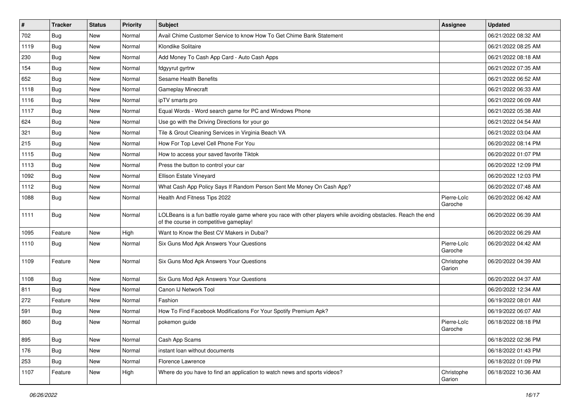| #    | <b>Tracker</b> | <b>Status</b> | <b>Priority</b> | Subject                                                                                                                                                  | <b>Assignee</b>        | <b>Updated</b>      |
|------|----------------|---------------|-----------------|----------------------------------------------------------------------------------------------------------------------------------------------------------|------------------------|---------------------|
| 702  | <b>Bug</b>     | New           | Normal          | Avail Chime Customer Service to know How To Get Chime Bank Statement                                                                                     |                        | 06/21/2022 08:32 AM |
| 1119 | Bug            | New           | Normal          | Klondike Solitaire                                                                                                                                       |                        | 06/21/2022 08:25 AM |
| 230  | Bug            | New           | Normal          | Add Money To Cash App Card - Auto Cash Apps                                                                                                              |                        | 06/21/2022 08:18 AM |
| 154  | <b>Bug</b>     | New           | Normal          | fdgyyrut gyrtrw                                                                                                                                          |                        | 06/21/2022 07:35 AM |
| 652  | Bug            | New           | Normal          | <b>Sesame Health Benefits</b>                                                                                                                            |                        | 06/21/2022 06:52 AM |
| 1118 | <b>Bug</b>     | New           | Normal          | Gameplay Minecraft                                                                                                                                       |                        | 06/21/2022 06:33 AM |
| 1116 | Bug            | New           | Normal          | ipTV smarts pro                                                                                                                                          |                        | 06/21/2022 06:09 AM |
| 1117 | Bug            | New           | Normal          | Equal Words - Word search game for PC and Windows Phone                                                                                                  |                        | 06/21/2022 05:38 AM |
| 624  | Bug            | New           | Normal          | Use go with the Driving Directions for your go                                                                                                           |                        | 06/21/2022 04:54 AM |
| 321  | Bug            | New           | Normal          | Tile & Grout Cleaning Services in Virginia Beach VA                                                                                                      |                        | 06/21/2022 03:04 AM |
| 215  | <b>Bug</b>     | New           | Normal          | How For Top Level Cell Phone For You                                                                                                                     |                        | 06/20/2022 08:14 PM |
| 1115 | <b>Bug</b>     | New           | Normal          | How to access your saved favorite Tiktok                                                                                                                 |                        | 06/20/2022 01:07 PM |
| 1113 | Bug            | New           | Normal          | Press the button to control your car                                                                                                                     |                        | 06/20/2022 12:09 PM |
| 1092 | <b>Bug</b>     | New           | Normal          | Ellison Estate Vineyard                                                                                                                                  |                        | 06/20/2022 12:03 PM |
| 1112 | <b>Bug</b>     | New           | Normal          | What Cash App Policy Says If Random Person Sent Me Money On Cash App?                                                                                    |                        | 06/20/2022 07:48 AM |
| 1088 | Bug            | New           | Normal          | Health And Fitness Tips 2022                                                                                                                             | Pierre-Loïc<br>Garoche | 06/20/2022 06:42 AM |
| 1111 | <b>Bug</b>     | New           | Normal          | LOLBeans is a fun battle royale game where you race with other players while avoiding obstacles. Reach the end<br>of the course in competitive gameplay! |                        | 06/20/2022 06:39 AM |
| 1095 | Feature        | New           | High            | Want to Know the Best CV Makers in Dubai?                                                                                                                |                        | 06/20/2022 06:29 AM |
| 1110 | Bug            | New           | Normal          | Six Guns Mod Apk Answers Your Questions                                                                                                                  | Pierre-Loïc<br>Garoche | 06/20/2022 04:42 AM |
| 1109 | Feature        | New           | Normal          | Six Guns Mod Apk Answers Your Questions                                                                                                                  | Christophe<br>Garion   | 06/20/2022 04:39 AM |
| 1108 | <b>Bug</b>     | New           | Normal          | Six Guns Mod Apk Answers Your Questions                                                                                                                  |                        | 06/20/2022 04:37 AM |
| 811  | <b>Bug</b>     | New           | Normal          | Canon IJ Network Tool                                                                                                                                    |                        | 06/20/2022 12:34 AM |
| 272  | Feature        | New           | Normal          | Fashion                                                                                                                                                  |                        | 06/19/2022 08:01 AM |
| 591  | <b>Bug</b>     | New           | Normal          | How To Find Facebook Modifications For Your Spotify Premium Apk?                                                                                         |                        | 06/19/2022 06:07 AM |
| 860  | <b>Bug</b>     | New           | Normal          | pokemon guide                                                                                                                                            | Pierre-Loïc<br>Garoche | 06/18/2022 08:18 PM |
| 895  | <b>Bug</b>     | New           | Normal          | Cash App Scams                                                                                                                                           |                        | 06/18/2022 02:36 PM |
| 176  | <b>Bug</b>     | New           | Normal          | instant loan without documents                                                                                                                           |                        | 06/18/2022 01:43 PM |
| 253  | Bug            | New           | Normal          | Florence Lawrence                                                                                                                                        |                        | 06/18/2022 01:09 PM |
| 1107 | Feature        | New           | High            | Where do you have to find an application to watch news and sports videos?                                                                                | Christophe<br>Garion   | 06/18/2022 10:36 AM |